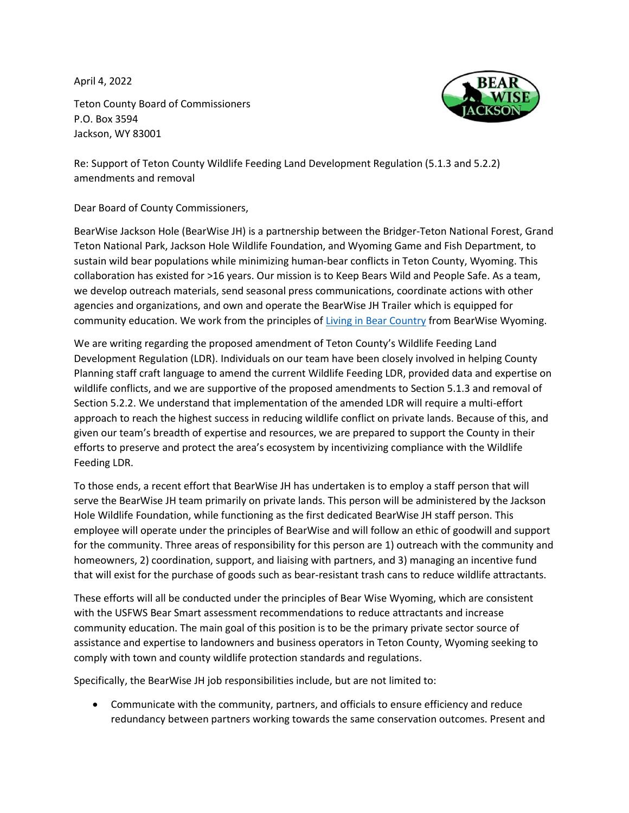April 4, 2022

Teton County Board of Commissioners P.O. Box 3594 Jackson, WY 83001

Re: Support of Teton County Wildlife Feeding Land Development Regulation (5.1.3 and 5.2.2) amendments and removal

Dear Board of County Commissioners,

BearWise Jackson Hole (BearWise JH) is a partnership between the Bridger-Teton National Forest, Grand Teton National Park, Jackson Hole Wildlife Foundation, and Wyoming Game and Fish Department, to sustain wild bear populations while minimizing human-bear conflicts in Teton County, Wyoming. This collaboration has existed for >16 years. Our mission is to Keep Bears Wild and People Safe. As a team, we develop outreach materials, send seasonal press communications, coordinate actions with other agencies and organizations, and own and operate the BearWise JH Trailer which is equipped for community education. We work from the principles of [Living in Bear Country](https://wgfd.wyo.gov/Wildlife-in-Wyoming/More-Wildlife/Large-Carnivore/Grizzly-Bear-Management/Bear-Wise-Wyoming/Living-in-Bear-Country) from BearWise Wyoming.

We are writing regarding the proposed amendment of Teton County's Wildlife Feeding Land Development Regulation (LDR). Individuals on our team have been closely involved in helping County Planning staff craft language to amend the current Wildlife Feeding LDR, provided data and expertise on wildlife conflicts, and we are supportive of the proposed amendments to Section 5.1.3 and removal of Section 5.2.2. We understand that implementation of the amended LDR will require a multi-effort approach to reach the highest success in reducing wildlife conflict on private lands. Because of this, and given our team's breadth of expertise and resources, we are prepared to support the County in their efforts to preserve and protect the area's ecosystem by incentivizing compliance with the Wildlife Feeding LDR.

To those ends, a recent effort that BearWise JH has undertaken is to employ a staff person that will serve the BearWise JH team primarily on private lands. This person will be administered by the Jackson Hole Wildlife Foundation, while functioning as the first dedicated BearWise JH staff person. This employee will operate under the principles of BearWise and will follow an ethic of goodwill and support for the community. Three areas of responsibility for this person are 1) outreach with the community and homeowners, 2) coordination, support, and liaising with partners, and 3) managing an incentive fund that will exist for the purchase of goods such as bear-resistant trash cans to reduce wildlife attractants.

These efforts will all be conducted under the principles of Bear Wise Wyoming, which are consistent with the USFWS Bear Smart assessment recommendations to reduce attractants and increase community education. The main goal of this position is to be the primary private sector source of assistance and expertise to landowners and business operators in Teton County, Wyoming seeking to comply with town and county wildlife protection standards and regulations.

Specifically, the BearWise JH job responsibilities include, but are not limited to:

• Communicate with the community, partners, and officials to ensure efficiency and reduce redundancy between partners working towards the same conservation outcomes. Present and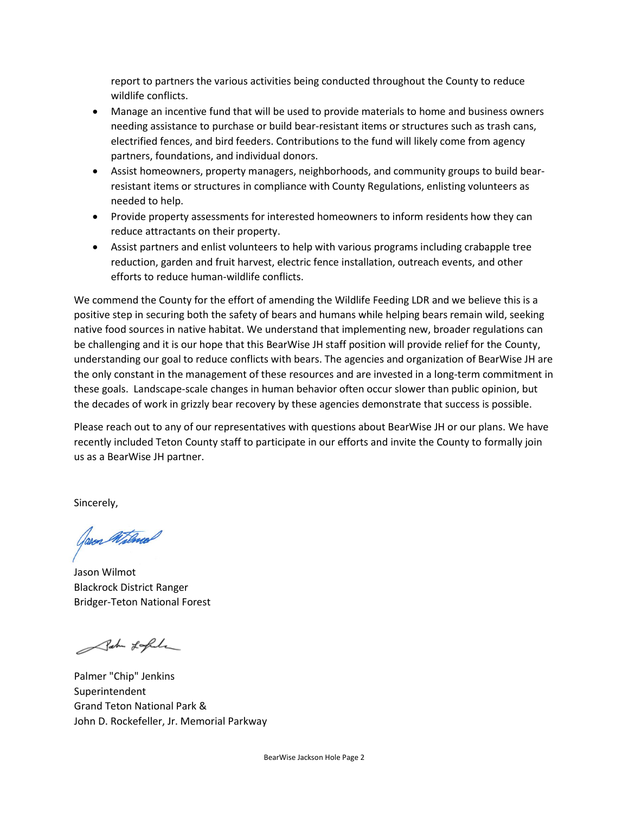report to partners the various activities being conducted throughout the County to reduce wildlife conflicts.

- Manage an incentive fund that will be used to provide materials to home and business owners needing assistance to purchase or build bear-resistant items or structures such as trash cans, electrified fences, and bird feeders. Contributions to the fund will likely come from agency partners, foundations, and individual donors.
- Assist homeowners, property managers, neighborhoods, and community groups to build bearresistant items or structures in compliance with County Regulations, enlisting volunteers as needed to help.
- Provide property assessments for interested homeowners to inform residents how they can reduce attractants on their property.
- Assist partners and enlist volunteers to help with various programs including crabapple tree reduction, garden and fruit harvest, electric fence installation, outreach events, and other efforts to reduce human-wildlife conflicts.

We commend the County for the effort of amending the Wildlife Feeding LDR and we believe this is a positive step in securing both the safety of bears and humans while helping bears remain wild, seeking native food sources in native habitat. We understand that implementing new, broader regulations can be challenging and it is our hope that this BearWise JH staff position will provide relief for the County, understanding our goal to reduce conflicts with bears. The agencies and organization of BearWise JH are the only constant in the management of these resources and are invested in a long-term commitment in these goals. Landscape-scale changes in human behavior often occur slower than public opinion, but the decades of work in grizzly bear recovery by these agencies demonstrate that success is possible.

Please reach out to any of our representatives with questions about BearWise JH or our plans. We have recently included Teton County staff to participate in our efforts and invite the County to formally join us as a BearWise JH partner.

Sincerely,

Jason Willwas

Jason Wilmot Blackrock District Ranger Bridger-Teton National Forest

Salu Lafele

Palmer "Chip" Jenkins Superintendent Grand Teton National Park & John D. Rockefeller, Jr. Memorial Parkway